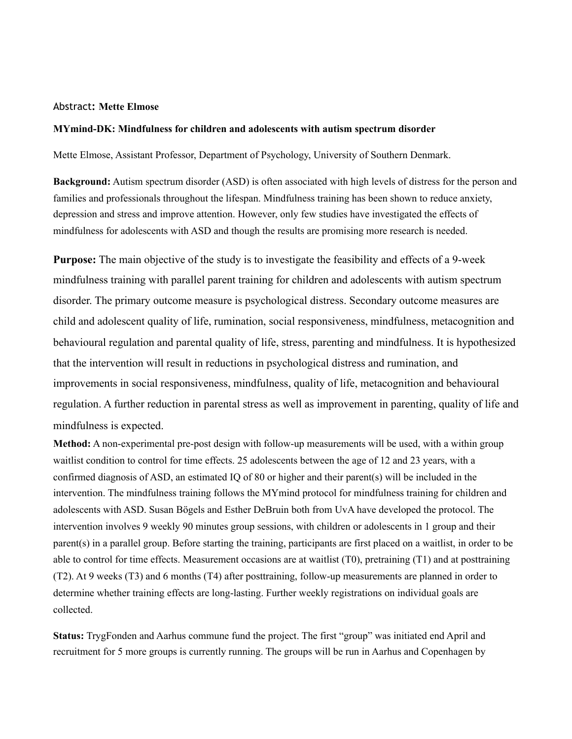## Abstract**: Mette Elmose**

## **MYmind-DK: Mindfulness for children and adolescents with autism spectrum disorder**

Mette Elmose, Assistant Professor, Department of Psychology, University of Southern Denmark.

**Background:** Autism spectrum disorder (ASD) is often associated with high levels of distress for the person and families and professionals throughout the lifespan. Mindfulness training has been shown to reduce anxiety, depression and stress and improve attention. However, only few studies have investigated the effects of mindfulness for adolescents with ASD and though the results are promising more research is needed.

**Purpose:** The main objective of the study is to investigate the feasibility and effects of a 9-week mindfulness training with parallel parent training for children and adolescents with autism spectrum disorder. The primary outcome measure is psychological distress. Secondary outcome measures are child and adolescent quality of life, rumination, social responsiveness, mindfulness, metacognition and behavioural regulation and parental quality of life, stress, parenting and mindfulness. It is hypothesized that the intervention will result in reductions in psychological distress and rumination, and improvements in social responsiveness, mindfulness, quality of life, metacognition and behavioural regulation. A further reduction in parental stress as well as improvement in parenting, quality of life and mindfulness is expected.

**Method:** A non-experimental pre-post design with follow-up measurements will be used, with a within group waitlist condition to control for time effects. 25 adolescents between the age of 12 and 23 years, with a confirmed diagnosis of ASD, an estimated IQ of 80 or higher and their parent(s) will be included in the intervention. The mindfulness training follows the MYmind protocol for mindfulness training for children and adolescents with ASD. Susan Bögels and Esther DeBruin both from UvA have developed the protocol. The intervention involves 9 weekly 90 minutes group sessions, with children or adolescents in 1 group and their parent(s) in a parallel group. Before starting the training, participants are first placed on a waitlist, in order to be able to control for time effects. Measurement occasions are at waitlist (T0), pretraining (T1) and at posttraining (T2). At 9 weeks (T3) and 6 months (T4) after posttraining, follow-up measurements are planned in order to determine whether training effects are long-lasting. Further weekly registrations on individual goals are collected.

**Status:** TrygFonden and Aarhus commune fund the project. The first "group" was initiated end April and recruitment for 5 more groups is currently running. The groups will be run in Aarhus and Copenhagen by